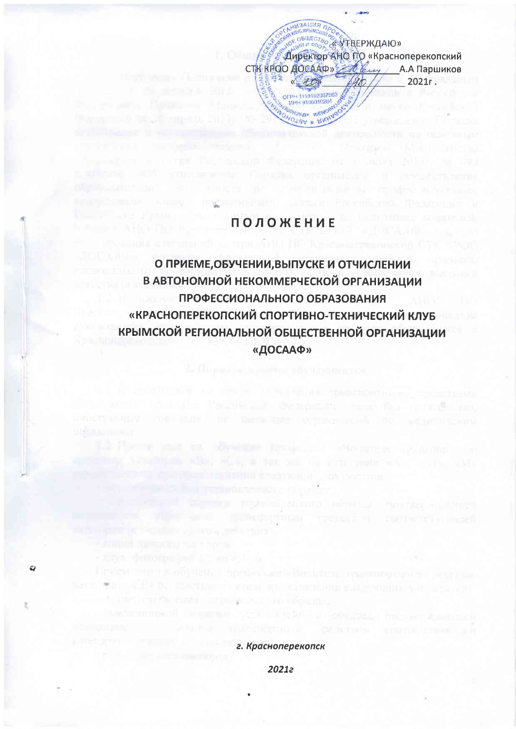

### **ПОЛОЖЕНИЕ**

atteint in april 1810 News

**INSTER** 

**URBER COTEDUING** 

 $\ddot{\omega}$ 

О ПРИЕМЕ, ОБУЧЕНИИ, ВЫПУСКЕ И ОТЧИСЛЕНИИ В АВТОНОМНОЙ НЕКОММЕРЧЕСКОЙ ОРГАНИЗАЦИИ ПРОФЕССИОНАЛЬНОГО ОБРАЗОВАНИЯ «КРАСНОПЕРЕКОПСКИЙ СПОРТИВНО-ТЕХНИЧЕСКИЙ КЛУБ КРЫМСКОЙ РЕГИОНАЛЬНОЙ ОБЩЕСТВЕННОЙ ОРГАНИЗАЦИИ «ДОСААФ»

г. Красноперекопск

TOT BRIDGE VALUE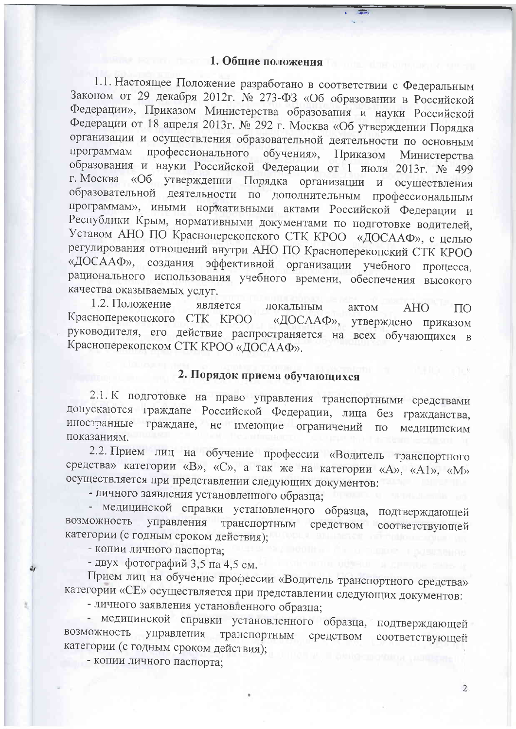#### 1. Общие положения

1.1. Настоящее Положение разработано в соответствии с Федеральным Законом от 29 декабря 2012г. № 273-ФЗ «Об образовании в Российской Федерации», Приказом Министерства образования и науки Российской Федерации от 18 апреля 2013г. № 292 г. Москва «Об утверждении Порядка организации и осуществления образовательной деятельности по основным программам профессионального обучения», Приказом Министерства образования и науки Российской Федерации от 1 июля 2013г. № 499 г. Москва «Об утверждении Порядка организации и осуществления образовательной деятельности по дополнительным профессиональным программам», иными нормативными актами Российской Федерации и Республики Крым, нормативными документами по подготовке водителей, Уставом АНО ПО Красноперекопского СТК КРОО «ДОСААФ», с целью регулирования отношений внутри АНО ПО Красноперекопский СТК КРОО «ДОСААФ», создания эффективной организации учебного процесса, рационального использования учебного времени, обеспечения высокого качества оказываемых услуг.

1.2. Положение является локальным актом **AHO**  $\Pi$ <sup>O</sup> Красноперекопского СТК КРОО «ДОСААФ», утверждено приказом руководителя, его действие распространяется на всех обучающихся в Красноперекопском СТК КРОО «ДОСААФ».

### 2. Порядок приема обучающихся

2.1. К подготовке на право управления транспортными средствами допускаются граждане Российской Федерации, лица без гражданства, иностранные граждане, не имеющие ограничений  $\Pi$ <sup>O</sup> медицинским показаниям.

2.2. Прием лиц на обучение профессии «Водитель транспортного средства» категории «В», «С», а так же на категории «А», «А1», «М» осуществляется при представлении следующих документов:

- личного заявления установленного образца;

медицинской справки установленного образца, подтверждающей возможность управления транспортным средством соответствующей категории (с годным сроком действия);

- копии личного паспорта;

- двух фотографий 3,5 на 4,5 см.

Прием лиц на обучение профессии «Водитель транспортного средства» категории «СЕ» осуществляется при представлении следующих документов:

- личного заявления установленного образца;

- медицинской справки установленного образца, подтверждающей управления транспортным возможность средством соответствующей категории (с годным сроком действия);

- копии личного паспорта;

 $\overline{2}$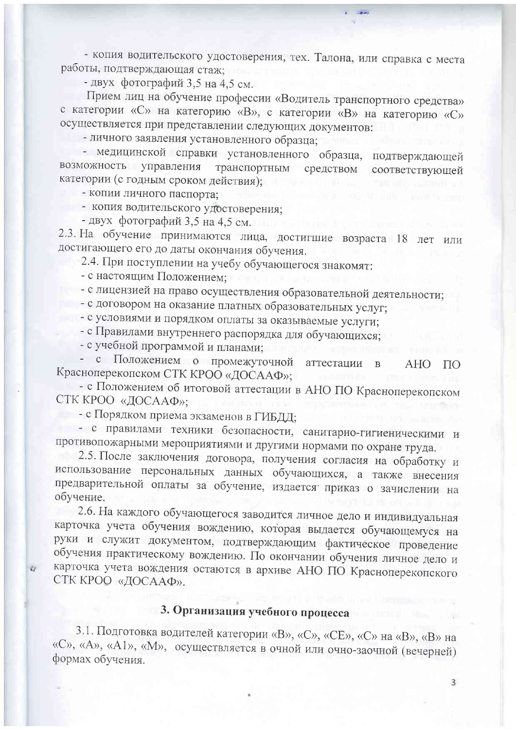- копия водительского удостоверения, тех. Талона, или справка с места работы, подтверждающая стаж;

- двух фотографий 3,5 на 4,5 см.

Прием лиц на обучение профессии «Водитель транспортного средства» с категории «С» на категорию «В», с категории «В» на категорию «С» осуществляется при представлении следующих документов:

- личного заявления установленного образца;

- медицинской справки установленного образца, подтверждающей возможность управления транспортным средством соответствующей категории (с годным сроком действия);

- копии личного паспорта;

- копия водительского удостоверения;

- двух фотографий 3,5 на 4,5 см.

2.3. На обучение принимаются лица, достигшие возраста 18 лет или достигающего его до даты окончания обучения.

2.4. При поступлении на учебу обучающегося знакомят:

- с настоящим Положением;

 $\overline{z}$ 

- с лицензией на право осуществления образовательной деятельности;

- с договором на оказание платных образовательных услуг;

- с условиями и порядком оплаты за оказываемые услуги;

- с Правилами внутреннего распорядка для обучающихся;

- с учебной программой и планами;

- с Положением о промежуточной аттестации  $\overline{B}$ **AHO**  $\Pi$ <sup>O</sup> Красноперекопском СТК КРОО «ДОСААФ»;

- с Положением об итоговой аттестации в АНО ПО Красноперекопском СТК КРОО «ДОСААФ»;

- с Порядком приема экзаменов в ГИБДД;

- с правилами техники безопасности, санитарно-гигиеническими и противопожарными мероприятиями и другими нормами по охране труда.

2.5. После заключения договора, получения согласия на обработку и использование персональных данных обучающихся, а также внесения предварительной оплаты за обучение, издается приказ о зачислении на обучение.

2.6. На каждого обучающегося заводится личное дело и индивидуальная карточка учета обучения вождению, которая выдается обучающемуся на руки и служит документом, подтверждающим фактическое проведение обучения практическому вождению. По окончании обучения личное дело и карточка учета вождения остаются в архиве АНО ПО Красноперекопского СТК КРОО «ДОСААФ».

## 3. Организация учебного процесса

3.1. Подготовка водителей категории «В», «С», «СЕ», «С» на «В», «В» на «С», «А», «А1», «М», осуществляется в очной или очно-заочной (вечерней) формах обучения.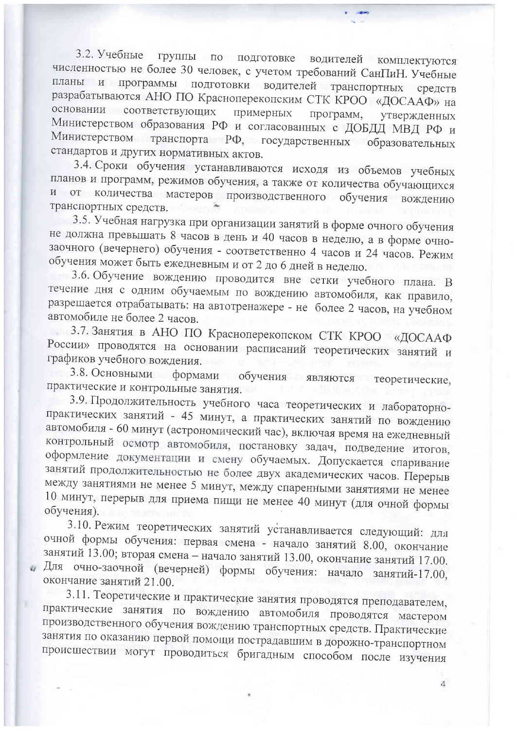3.2. Учебные группы по подготовке водителей комплектуются численностью не более 30 человек, с учетом требований СанПиН. Учебные планы и программы подготовки водителей транспортных средств разрабатываются АНО ПО Красноперекопским СТК КРОО «ДОСААФ» на основании соответствующих примерных программ. утвержденных Министерством образования РФ и согласованных с ДОБДД МВД РФ и Министерством транспорта РФ, государственных образовательных стандартов и других нормативных актов.

3.4. Сроки обучения устанавливаются исходя из объемов учебных планов и программ, режимов обучения, а также от количества обучающихся и от количества мастеров производственного обучения вождению транспортных средств.

3.5. Учебная нагрузка при организации занятий в форме очного обучения не должна превышать 8 часов в день и 40 часов в неделю, а в форме очнозаочного (вечернего) обучения - соответственно 4 часов и 24 часов. Режим обучения может быть ежедневным и от 2 до 6 дней в неделю.

3.6. Обучение вождению проводится вне сетки учебного плана. В течение дня с одним обучаемым по вождению автомобиля, как правило, разрешается отрабатывать: на автотренажере - не более 2 часов, на учебном автомобиле не более 2 часов.

3.7. Занятия в АНО ПО Красноперекопском СТК КРОО «ДОСААФ России» проводятся на основании расписаний теоретических занятий и графиков учебного вождения.

3.8. Основными формами обучения являются теоретические, практические и контрольные занятия.

3.9. Продолжительность учебного часа теоретических и лабораторнопрактических занятий - 45 минут, а практических занятий по вождению автомобиля - 60 минут (астрономический час), включая время на ежедневный контрольный осмотр автомобиля, постановку задач, подведение итогов, оформление документации и смену обучаемых. Допускается спаривание занятий продолжительностью не более двух академических часов. Перерыв между занятиями не менее 5 минут, между спаренными занятиями не менее 10 минут, перерыв для приема пищи не менее 40 минут (для очной формы обучения).

3.10. Режим теоретических занятий устанавливается следующий: для очной формы обучения: первая смена - начало занятий 8.00, окончание занятий 13.00; вторая смена - начало занятий 13.00, окончание занятий 17.00. Для очно-заочной (вечерней) формы обучения: начало занятий-17.00, окончание занятий 21.00.

3.11. Теоретические и практические занятия проводятся преподавателем, практические занятия по вождению автомобиля проводятся мастером производственного обучения вождению транспортных средств. Практические занятия по оказанию первой помощи пострадавшим в дорожно-транспортном происшествии могут проводиться бригадным способом после изучения

 $\overline{4}$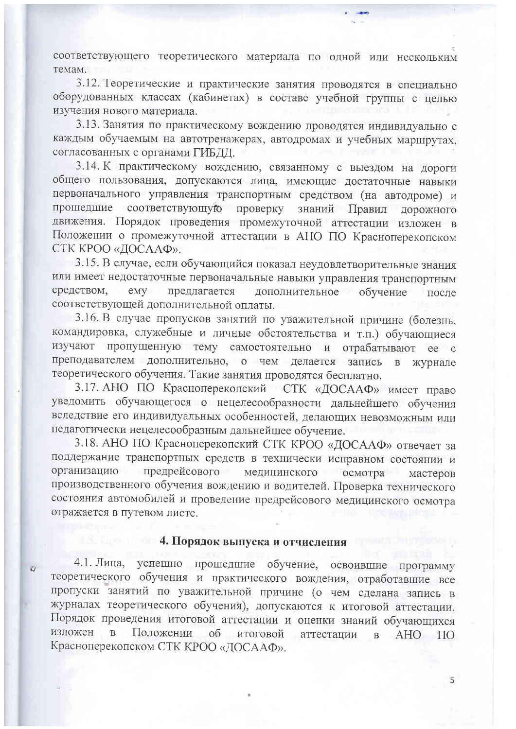соответствующего теоретического материала по одной или нескольким темам.

3.12. Теоретические и практические занятия проводятся в специально оборудованных классах (кабинетах) в составе учебной группы с целью изучения нового материала.

3.13. Занятия по практическому вождению проводятся индивидуально с каждым обучаемым на автотренажерах, автодромах и учебных маршрутах, согласованных с органами ГИБДД.

3.14. К практическому вождению, связанному с выездом на дороги общего пользования, допускаются лица, имеющие достаточные навыки первоначального управления транспортным средством (на автодроме) и прошедшие соответствующую проверку знаний Правил дорожного движения. Порядок проведения промежуточной аттестации изложен в Положении о промежуточной аттестации в АНО ПО Красноперекопском СТК КРОО «ДОСААФ».

3.15. В случае, если обучающийся показал неудовлетворительные знания или имеет недостаточные первоначальные навыки управления транспортным средством.  $e$ <sub>N</sub> $y$ предлагается дополнительное обучение после соответствующей дополнительной оплаты.

3.16. В случае пропусков занятий по уважительной причине (болезнь, командировка, служебные и личные обстоятельства и т.п.) обучающиеся изучают пропущенную тему самостоятельно и отрабатывают ее  $\mathbf{c}$ преподавателем дополнительно, о чем делается запись  $\, {\bf B}$ журнале теоретического обучения. Такие занятия проводятся бесплатно.

3.17. АНО ПО Красноперекопский СТК «ДОСААФ» имеет право уведомить обучающегося о нецелесообразности дальнейшего обучения вследствие его индивидуальных особенностей, делающих невозможным или педагогически нецелесообразным дальнейшее обучение.

3.18. АНО ПО Красноперекопский СТК КРОО «ДОСААФ» отвечает за поддержание транспортных средств в технически исправном состоянии и организацию предрейсового медицинского осмотра мастеров производственного обучения вождению и водителей. Проверка технического состояния автомобилей и проведение предрейсового медицинского осмотра отражается в путевом листе.

#### 4. Порядок выпуска и отчисления

 $\overline{z}$ 

успешно прошедшие обучение, освоившие программу  $4.1.$  Лица, теоретического обучения и практического вождения, отработавшие все пропуски занятий по уважительной причине (о чем сделана запись в журналах теоретического обучения), допускаются к итоговой аттестации. Порядок проведения итоговой аттестации и оценки знаний обучающихся изложен  $\overline{B}$ Положении об итоговой аттестации  $\mathbf{B}$ AHO  $\Pi$ <sup>O</sup> Красноперекопском СТК КРОО «ДОСААФ».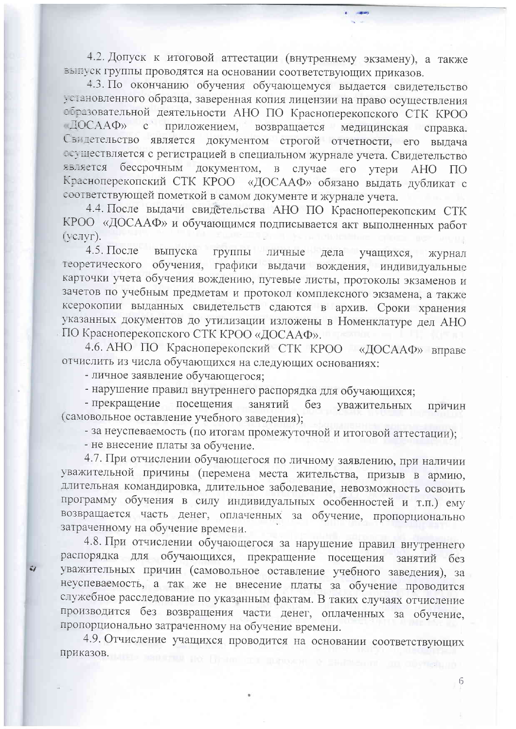4.2. Допуск к итоговой аттестации (внутреннему экзамену), а также выпуск группы проводятся на основании соответствующих приказов.

4.3. По окончанию обучения обучающемуся выдается свидетельство установленного образца, заверенная копия лицензии на право осуществления образовательной деятельности АНО ПО Красноперекопского СТК КРОО  $\Box$ OCAA $\Phi$ <sub>2</sub> приложением,  $c^{\dagger}$ возвращается медицинская справка. Свидетельство является документом строгой отчетности, его выдача есуществляется с регистрацией в специальном журнале учета. Свидетельство бессрочным документом, в случае его утери АНО ПО **ЯВЛЯЕТСЯ** Красноперекопский СТК КРОО «ДОСААФ» обязано выдать дубликат с соответствующей пометкой в самом документе и журнале учета.

4.4. После выдачи свидетельства АНО ПО Красноперекопским СТК КРОО «ДОСААФ» и обучающимся подписывается акт выполненных работ (услуг).

4.5. После выпуска группы личные дела учащихся, журнал обучения, графики выдачи вождения, индивидуальные теоретического карточки учета обучения вождению, путевые листы, протоколы экзаменов и зачетов по учебным предметам и протокол комплексного экзамена, а также ксерокопии выданных свидетельств сдаются в архив. Сроки хранения указанных документов до утилизации изложены в Номенклатуре дел АНО ПО Красноперекопского СТК КРОО «ДОСААФ».

4.6. АНО ПО Красноперекопский СТК КРОО «ДОСААФ» вправе отчислить из числа обучающихся на следующих основаниях:

- личное заявление обучающегося;

- нарушение правил внутреннего распорядка для обучающихся;

- прекращение посещения занятий без уважительных причин (самовольное оставление учебного заведения);

- за неуспеваемость (по итогам промежуточной и итоговой аттестации);

- не внесение платы за обучение.

 $\zeta$ 

4.7. При отчислении обучающегося по личному заявлению, при наличии уважительной причины (перемена места жительства, призыв в армию, длительная командировка, длительное заболевание, невозможность освоить программу обучения в силу индивидуальных особенностей и т.п.) ему возвращается часть денег, оплаченных за обучение, пропорционально затраченному на обучение времени.

4.8. При отчислении обучающегося за нарушение правил внутреннего распорядка для обучающихся, прекращение посещения занятий без уважительных причин (самовольное оставление учебного заведения), за неуспеваемость, а так же не внесение платы за обучение проводится служебное расследование по указанным фактам. В таких случаях отчисление производится без возвращения части денег, оплаченных за обучение, пропорционально затраченному на обучение времени.

4.9. Отчисление учащихся проводится на основании соответствующих приказов.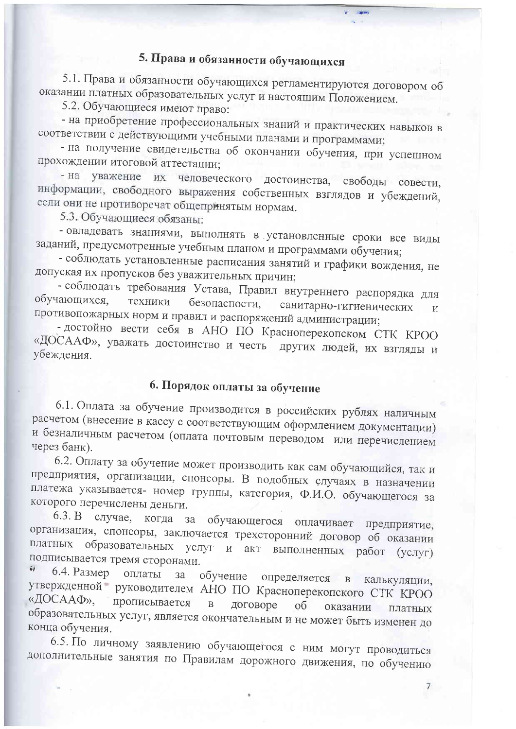# 5. Права и обязанности обучающихся

5.1. Права и обязанности обучающихся регламентируются договором об оказании платных образовательных услуг и настоящим Положением.

5.2. Обучающиеся имеют право:

- на приобретение профессиональных знаний и практических навыков в соответствии с действующими учебными планами и программами;

- на получение свидетельства об окончании обучения, при успешном прохождении итоговой аттестации;

- на уважение их человеческого достоинства, свободы совести, информации, свободного выражения собственных взглядов и убеждений, если они не противоречат общепринятым нормам.

5.3. Обучающиеся обязаны:

- овладевать знаниями, выполнять в установленные сроки все виды заданий, предусмотренные учебным планом и программами обучения;

- соблюдать установленные расписания занятий и графики вождения, не допуская их пропусков без уважительных причин;

- соблюдать требования Устава, Правил внутреннего распорядка для обучающихся. безопасности, техники санитарно-гигиенических  $\overline{M}$ противопожарных норм и правил и распоряжений администрации;

- достойно вести себя в АНО ПО Красноперекопском СТК КРОО «ДОСААФ», уважать достоинство и честь других людей, их взгляды и убеждения.

# 6. Порядок оплаты за обучение

6.1. Оплата за обучение производится в российских рублях наличным расчетом (внесение в кассу с соответствующим оформлением документации) и безналичным расчетом (оплата почтовым переводом или перечислением через банк).

6.2. Оплату за обучение может производить как сам обучающийся, так и предприятия, организации, спонсоры. В подобных случаях в назначении платежа указывается- номер группы, категория, Ф.И.О. обучающегося за которого перечислены деньги.

6.3. В случае, когда за обучающегося оплачивает предприятие, организация, спонсоры, заключается трехсторонний договор об оказании платных образовательных услуг и акт выполненных работ (услуг) подписывается тремя сторонами.  $\tilde{\omega}$ 

6.4. Размер оплаты обучение определяется в калькуляции,  $3a$ утвержденной руководителем АНО ПО Красноперекопского СТК КРОО «ДОСААФ», прописывается  $\, {\bf B} \,$ договоре об оказании платных образовательных услуг, является окончательным и не может быть изменен до конца обучения.

6.5. По личному заявлению обучающегося с ним могут проводиться дополнительные занятия по Правилам дорожного движения, по обучению